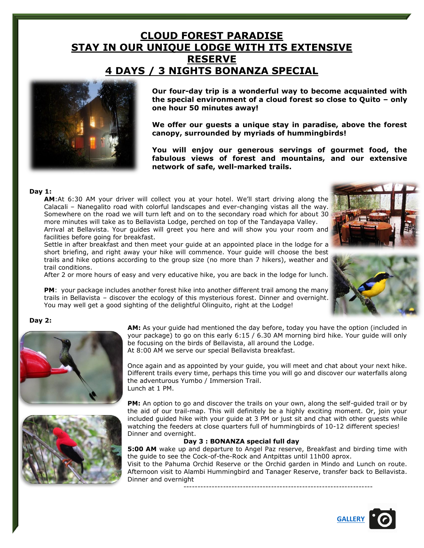# **CLOUD FOREST PARADISE STAY IN OUR UNIQUE LODGE WITH ITS EXTENSIVE RESERVE 4 DAYS / 3 NIGHTS BONANZA SPECIAL**



**Our four-day trip is a wonderful way to become acquainted with the special environment of a cloud forest so close to Quito – only one hour 50 minutes away!** 

**We offer our guests a unique stay in paradise, above the forest canopy, surrounded by myriads of hummingbirds!** 

**You will enjoy our generous servings of gourmet food, the fabulous views of forest and mountains, and our extensive network of safe, well-marked trails.**

#### **Day 1:**

**AM**:At 6:30 AM your driver will collect you at your hotel. We'll start driving along the Calacali – Nanegalito road with colorful landscapes and ever-changing vistas all the way. Somewhere on the road we will turn left and on to the secondary road which for about 30 more minutes will take as to Bellavista Lodge, perched on top of the Tandayapa Valley. Arrival at Bellavista. Your guides will greet you here and will show you your room and facilities before going for breakfast.

Settle in after breakfast and then meet your guide at an appointed place in the lodge for a short briefing, and right away your hike will commence. Your guide will choose the best trails and hike options according to the group size (no more than 7 hikers), weather and trail conditions.

After 2 or more hours of easy and very educative hike, you are back in the lodge for lunch.

**PM**: your package includes another forest hike into another different trail among the many trails in Bellavista – discover the ecology of this mysterious forest. Dinner and overnight. You may well get a good sighting of the delightful Olinguito, right at the Lodge!

#### **Day 2:**





**AM:** As your guide had mentioned the day before, today you have the option (included in your package) to go on this early 6:15 / 6.30 AM morning bird hike. Your guide will only be focusing on the birds of Bellavista, all around the Lodge. At 8:00 AM we serve our special Bellavista breakfast.

Once again and as appointed by your guide, you will meet and chat about your next hike. Different trails every time, perhaps this time you will go and discover our waterfalls along the adventurous Yumbo / Immersion Trail. Lunch at 1 PM.

**PM:** An option to go and discover the trails on your own, along the self-guided trail or by the aid of our trail-map. This will definitely be a highly exciting moment. Or, join your included guided hike with your guide at 3 PM or just sit and chat with other guests while watching the feeders at close quarters full of hummingbirds of 10-12 different species! Dinner and overnight.

#### **Day 3 : BONANZA special full day**

**5:00 AM** wake up and departure to Angel Paz reserve, Breakfast and birding time with the guide to see the Cock-of-the-Rock and Antpittas until 11h00 aprox.

Visit to the Pahuma Orchid Reserve or the Orchid garden in Mindo and Lunch on route. Afternoon visit to Alambi Hummingbird and Tanager Reserve, transfer back to Bellavista. Dinner and overnight

-------------------------------------------------------------------